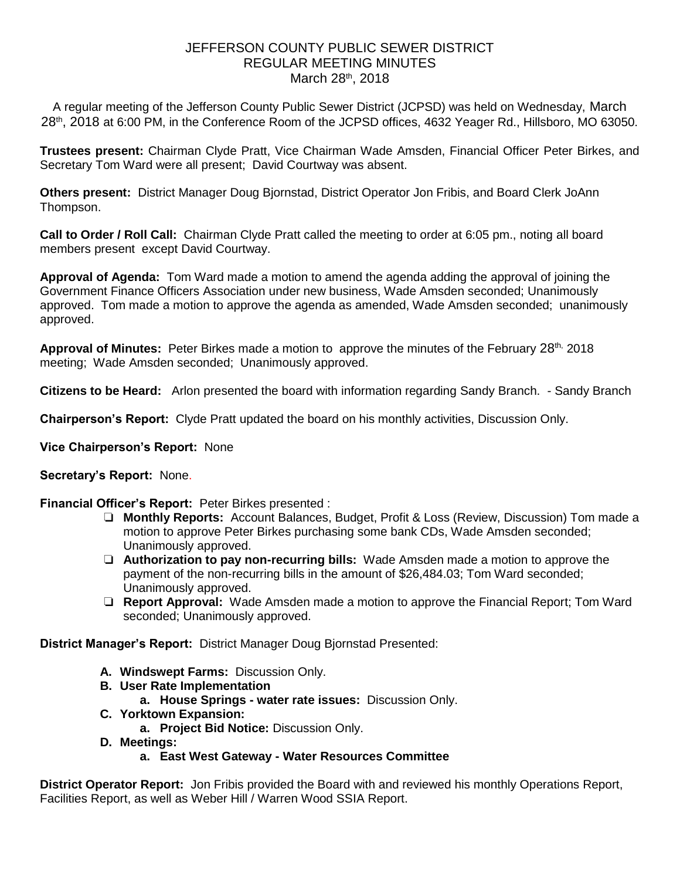## JEFFERSON COUNTY PUBLIC SEWER DISTRICT REGULAR MEETING MINUTES March 28th, 2018

A regular meeting of the Jefferson County Public Sewer District (JCPSD) was held on Wednesday, March 28<sup>th</sup>, 2018 at 6:00 PM, in the Conference Room of the JCPSD offices, 4632 Yeager Rd., Hillsboro, MO 63050.

**Trustees present:** Chairman Clyde Pratt, Vice Chairman Wade Amsden, Financial Officer Peter Birkes, and Secretary Tom Ward were all present; David Courtway was absent.

**Others present:** District Manager Doug Bjornstad, District Operator Jon Fribis, and Board Clerk JoAnn Thompson.

**Call to Order / Roll Call:** Chairman Clyde Pratt called the meeting to order at 6:05 pm., noting all board members present except David Courtway.

**Approval of Agenda:** Tom Ward made a motion to amend the agenda adding the approval of joining the Government Finance Officers Association under new business, Wade Amsden seconded; Unanimously approved. Tom made a motion to approve the agenda as amended, Wade Amsden seconded; unanimously approved.

Approval of Minutes: Peter Birkes made a motion to approve the minutes of the February 28<sup>th,</sup> 2018 meeting; Wade Amsden seconded; Unanimously approved.

**Citizens to be Heard:** Arlon presented the board with information regarding Sandy Branch. - Sandy Branch

**Chairperson's Report:** Clyde Pratt updated the board on his monthly activities, Discussion Only.

**Vice Chairperson's Report:** None

## **Secretary's Report:** None.

## **Financial Officer's Report:** Peter Birkes presented :

- ❏ **Monthly Reports:** Account Balances, Budget, Profit & Loss (Review, Discussion) Tom made a motion to approve Peter Birkes purchasing some bank CDs, Wade Amsden seconded; Unanimously approved.
- ❏ **Authorization to pay non-recurring bills:** Wade Amsden made a motion to approve the payment of the non-recurring bills in the amount of \$26,484.03; Tom Ward seconded; Unanimously approved.
- ❏ **Report Approval:** Wade Amsden made a motion to approve the Financial Report; Tom Ward seconded; Unanimously approved.

**District Manager's Report:** District Manager Doug Bjornstad Presented:

- **A. Windswept Farms:** Discussion Only.
- **B. User Rate Implementation**
	- **a. House Springs - water rate issues:** Discussion Only.
- **C. Yorktown Expansion:**
	- **a. Project Bid Notice:** Discussion Only.
- **D. Meetings:** 
	- **a. East West Gateway - Water Resources Committee**

**District Operator Report:** Jon Fribis provided the Board with and reviewed his monthly Operations Report, Facilities Report, as well as Weber Hill / Warren Wood SSIA Report.